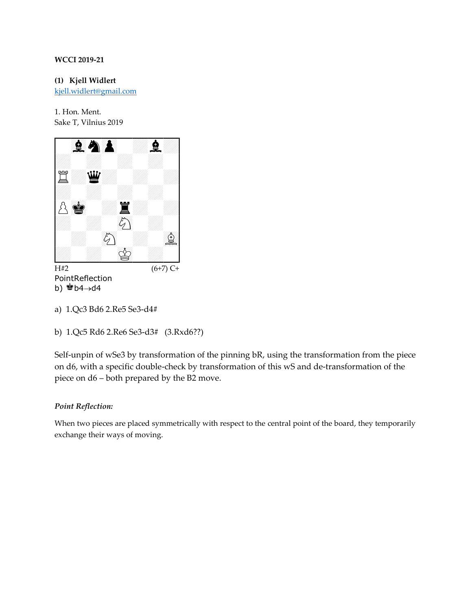**(1) Kjell Widlert** [kjell.widlert@gmail.com](mailto:kjell.widlert@gmail.com)

1. Hon. Ment. Sake T, Vilnius 2019  $\frac{1}{201}$ ,  $\frac{1}{201}$ 



PointReflection b)  $b^2$ b4→d4

Self-unpin of wSe3 by transformation of the pinning bR, using the transformation from the piece on d6, with a specific double-check by transformation of this wS and de-transformation of the piece on d6 – both prepared by the B2 move.

# *Point Reflection:*

When two pieces are placed symmetrically with respect to the central point of the board, they temporarily exchange their ways of moving.

a) 1.Qc3 Bd6 2.Re5 Se3-d4#

b) 1.Qc5 Rd6 2.Re6 Se3-d3# (3.Rxd6??)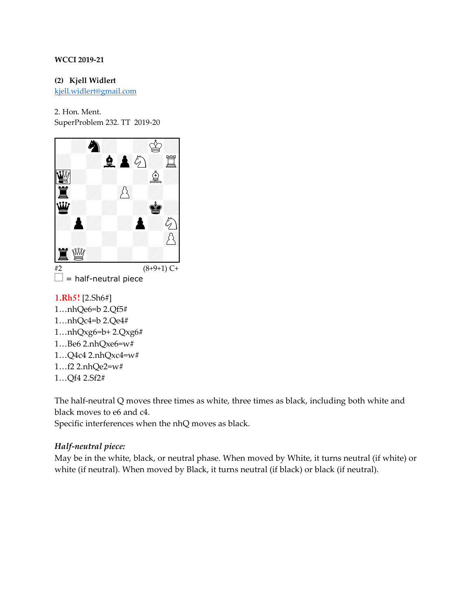**(2) Kjell Widlert** [kjell.widlert@gmail.com](mailto:kjell.widlert@gmail.com)

2. Hon. Ment.



- **1.Rh5!** [2.Sh6#]
- 1…nhQe6=b 2.Qf5#
- 1…nhQc4=b 2.Qe4#
- 1…nhQxg6=b+ 2.Qxg6#
- 1…Be6 2.nhQxe6=w#
- 1…Q4c4 2.nhQxc4=w#
- 1…f2 2.nhQe2=w#
- 1…Qf4 2.Sf2#

The half-neutral Q moves three times as white, three times as black, including both white and black moves to e6 and c4.

Specific interferences when the nhQ moves as black.

# *Half-neutral piece:*

May be in the white, black, or neutral phase. When moved by White, it turns neutral (if white) or white (if neutral). When moved by Black, it turns neutral (if black) or black (if neutral).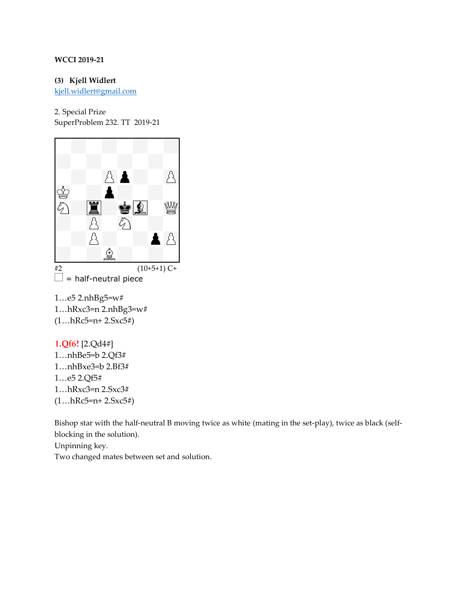**(3) Kjell Widlert**

[kjell.widlert@gmail.com](mailto:kjell.widlert@gmail.com)

2. Special Prize SuperProblem 232. TT 2019-21



 $\Box$  = half-neutral piece

1…e5 2.nhBg5=w# 1…hRxc3=n 2.nhBg3=w# (1…hRc5=n+ 2.Sxc5#)

# **1.Qf6!** [2.Qd4#]

1…nhBe5=b 2.Qf3# 1…nhBxe3=b 2.Bf3# 1…e5 2.Qf5# 1…hRxc3=n 2.Sxc3#  $(1...hRc5=n+2.Sxc5#)$ 

Bishop star with the half-neutral B moving twice as white (mating in the set-play), twice as black (selfblocking in the solution).

Unpinning key.

Two changed mates between set and solution.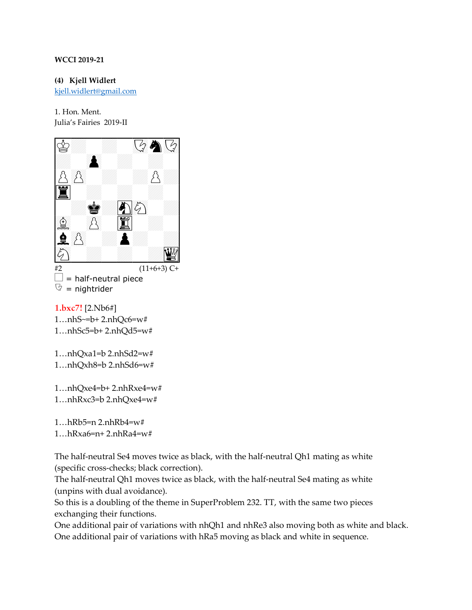**(4) Kjell Widlert** [kjell.widlert@gmail.com](mailto:kjell.widlert@gmail.com)

1. Hon. Ment. Julia's Fairies 2019-II



 $\Box$  = half-neutral piece  $\heartsuit$  = nightrider

**1.bxc7!** [2.Nb6#] 1…nhS~=b+ 2.nhQc6=w# 1…nhSc5=b+ 2.nhQd5=w#

1…nhQxa1=b 2.nhSd2=w# 1…nhQxh8=b 2.nhSd6=w#

1…nhQxe4=b+ 2.nhRxe4=w# 1…nhRxc3=b 2.nhQxe4=w#

1…hRb5=n 2.nhRb4=w#

1…hRxa6=n+ 2.nhRa4=w#

The half-neutral Se4 moves twice as black, with the half-neutral Qh1 mating as white (specific cross-checks; black correction).

The half-neutral Qh1 moves twice as black, with the half-neutral Se4 mating as white (unpins with dual avoidance).

So this is a doubling of the theme in SuperProblem 232. TT, with the same two pieces exchanging their functions.

One additional pair of variations with nhQh1 and nhRe3 also moving both as white and black. One additional pair of variations with hRa5 moving as black and white in sequence.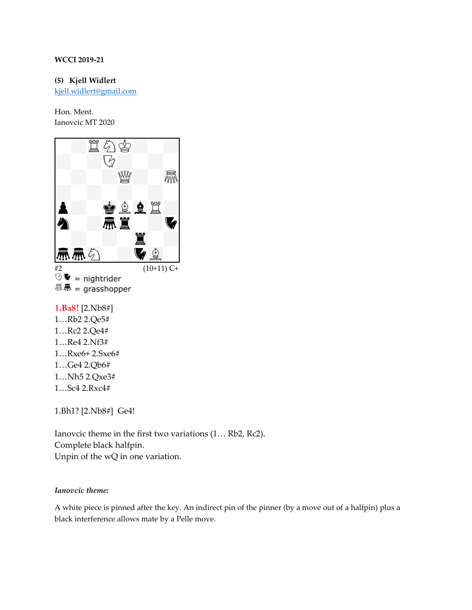**(5) Kjell Widlert**

[kjell.widlert@gmail.com](mailto:kjell.widlert@gmail.com)

Hon. Ment. Ianovcic MT 2020



 $\mathbb{Q}$   $\blacktriangledown$  = nightrider **驫鳥 = grasshopper** 

**1.Ba8!** [2.Nb8#]

- 1…Rb2 2.Qe5#
- 1…Rc2 2.Qe4#
- 1…Re4 2.Nf3#
- 1…Rxe6+ 2.Sxe6#
- 1…Ge4 2.Qb6#
- 1…Nh5 2.Qxe3#
- 1…Sc4 2.Rxc4#

1.Bh1? [2.Nb8#] Ge4!

Ianovcic theme in the first two variations (1… Rb2, Rc2). Complete black halfpin. Unpin of the wQ in one variation.

#### *Ianovcic theme:*

A white piece is pinned after the key. An indirect pin of the pinner (by a move out of a halfpin) plus a black interference allows mate by a Pelle move.